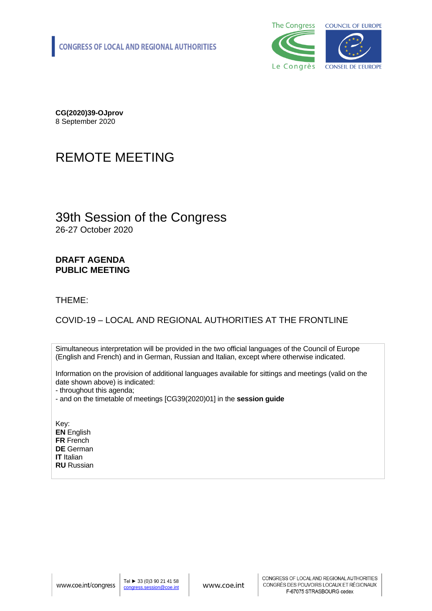

**CG(2020)39-OJprov** 8 September 2020

# REMOTE MEETING

### 39th Session of the Congress 26-27 October 2020

### **DRAFT AGENDA PUBLIC MEETING**

#### THEME:

### COVID-19 – LOCAL AND REGIONAL AUTHORITIES AT THE FRONTLINE

Simultaneous interpretation will be provided in the two official languages of the Council of Europe (English and French) and in German, Russian and Italian, except where otherwise indicated.

Information on the provision of additional languages available for sittings and meetings (valid on the date shown above) is indicated:

- throughout this agenda;

- and on the timetable of meetings [CG39(2020)01] in the **session guide**

Key: **EN** English **FR** French **DE** German **IT** Italian **RU** Russian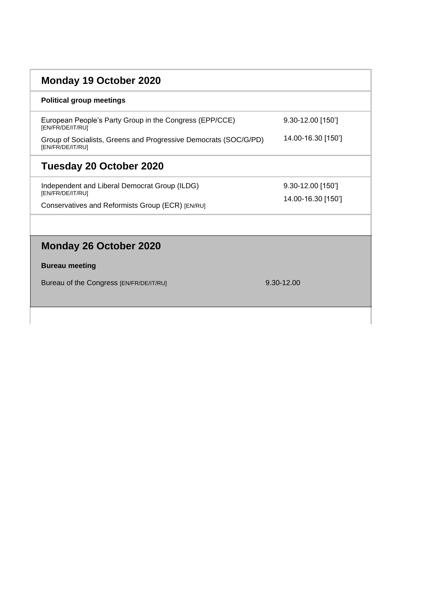## **Monday 19 October 2020**

#### **Political group meetings**

European People's Party Group in the Congress (EPP/CCE) [EN/FR/DE/IT/RU]

Group of Socialists, Greens and Progressive Democrats (SOC/G/PD) [EN/FR/DE/IT/RU]

## **Tuesday 20 October 2020**

Independent and Liberal Democrat Group (ILDG) [EN/FR/DE/IT/RU]

Conservatives and Reformists Group (ECR) [EN/RU]

14.00-16.30 [150']

9.30-12.00 [150']

9.30-12.00 [150'] 14.00-16.30 [150']

## **Monday 26 October 2020**

#### **Bureau meeting**

Bureau of the Congress [EN/FR/DE/IT/RU] 9.30-12.00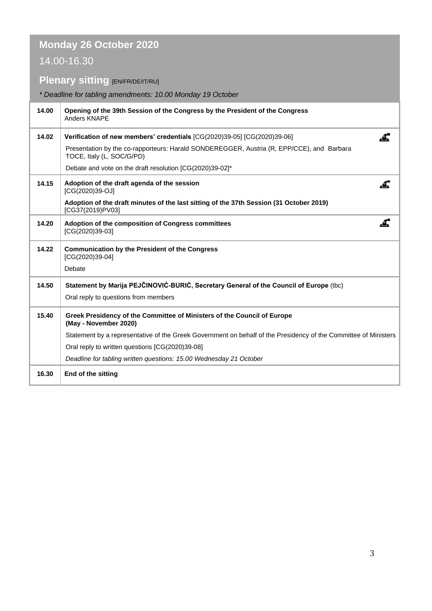# **Monday 26 October 2020**

## 14.00-16.30

# **Plenary sitting [EN/FR/DE/IT/RU]**

### *\* Deadline for tabling amendments: 10.00 Monday 19 October*

| 14.00 | Opening of the 39th Session of the Congress by the President of the Congress<br>Anders KNAPE                           |
|-------|------------------------------------------------------------------------------------------------------------------------|
| 14.02 | Verification of new members' credentials [CG(2020)39-05] [CG(2020)39-06]                                               |
|       | Presentation by the co-rapporteurs: Harald SONDEREGGER, Austria (R, EPP/CCE), and Barbara<br>TOCE, Italy (L, SOC/G/PD) |
|       | Debate and vote on the draft resolution [CG(2020)39-02]*                                                               |
| 14.15 | Adoption of the draft agenda of the session<br>[CG(2020)39-OJ]                                                         |
|       | Adoption of the draft minutes of the last sitting of the 37th Session (31 October 2019)<br>[CG37(2019)PV03]            |
| 14.20 | Adoption of the composition of Congress committees<br>[CG(2020)39-03]                                                  |
| 14.22 | <b>Communication by the President of the Congress</b><br>[CG(2020)39-04]                                               |
|       | Debate                                                                                                                 |
| 14.50 | Statement by Marija PEJČINOVIĆ-BURIĆ, Secretary General of the Council of Europe (tbc)                                 |
|       | Oral reply to questions from members                                                                                   |
| 15.40 | Greek Presidency of the Committee of Ministers of the Council of Europe<br>(May - November 2020)                       |
|       | Statement by a representative of the Greek Government on behalf of the Presidency of the Committee of Ministers        |
|       | Oral reply to written questions [CG(2020)39-08]                                                                        |
|       | Deadline for tabling written questions: 15.00 Wednesday 21 October                                                     |
| 16.30 | End of the sitting                                                                                                     |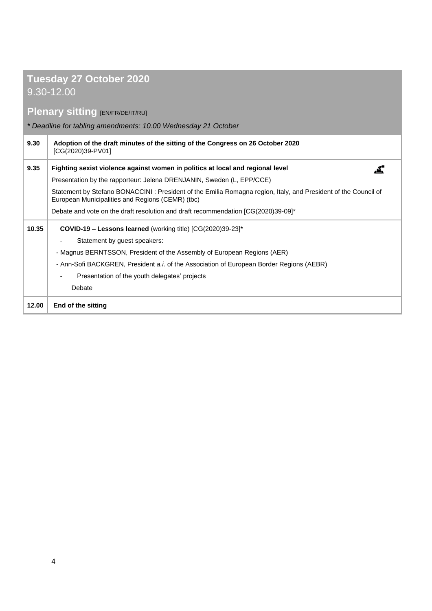# **Tuesday 27 October 2020**

9.30-12.00

## **Plenary sitting [EN/FR/DE/IT/RU]**

*\* Deadline for tabling amendments: 10.00 Wednesday 21 October*

| 9.30  | Adoption of the draft minutes of the sitting of the Congress on 26 October 2020<br>[CG(2020)39-PV01]                                                               |
|-------|--------------------------------------------------------------------------------------------------------------------------------------------------------------------|
| 9.35  | Fighting sexist violence against women in politics at local and regional level<br><u>, ч.</u>                                                                      |
|       | Presentation by the rapporteur: Jelena DRENJANIN, Sweden (L, EPP/CCE)                                                                                              |
|       | Statement by Stefano BONACCINI: President of the Emilia Romagna region, Italy, and President of the Council of<br>European Municipalities and Regions (CEMR) (tbc) |
|       | Debate and vote on the draft resolution and draft recommendation [CG(2020)39-09]*                                                                                  |
| 10.35 | <b>COVID-19 – Lessons learned</b> (working title) $[CG(2020)39-23]^*$                                                                                              |
|       | Statement by guest speakers:                                                                                                                                       |
|       | - Magnus BERNTSSON, President of the Assembly of European Regions (AER)                                                                                            |
|       | - Ann-Sofi BACKGREN, President a.i. of the Association of European Border Regions (AEBR)                                                                           |
|       | Presentation of the youth delegates' projects                                                                                                                      |
|       | Debate                                                                                                                                                             |
| 12.00 | End of the sitting                                                                                                                                                 |